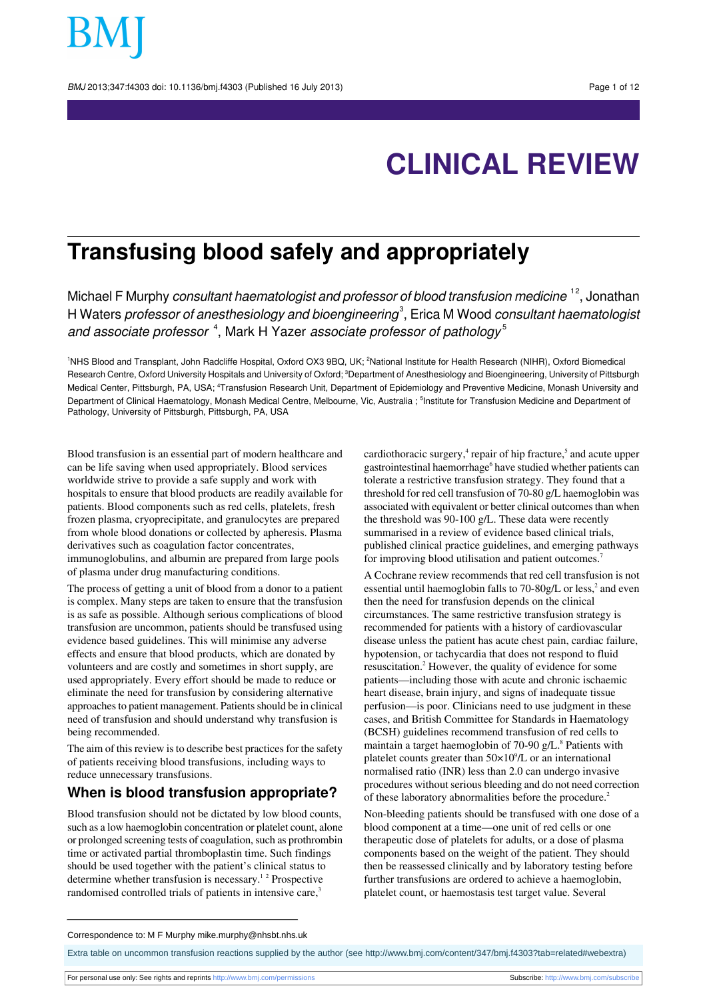## **Transfusing blood safely and appropriately**

Michael F Murphy *consultant haematologist and professor of blood transfusion medicine*  $^{\text{\tiny 12}}$ *, Jonathan* H Waters *professor of anesthesiology and bioengineering* $^3$ , Erica M Wood *consultant haematologist* and associate professor  $^4$ , Mark H Yazer associate professor of pathology $^5$ 

1NHS Blood and Transplant, John Radcliffe Hospital, Oxford OX3 9BQ, UK; <sup>2</sup>National Institute for Health Research (NIHR), Oxford Biomedical Research Centre, Oxford University Hospitals and University of Oxford; <sup>3</sup>Department of Anesthesiology and Bioengineering, University of Pittsburgh Medical Center, Pittsburgh, PA, USA; <sup>4</sup>Transfusion Research Unit, Department of Epidemiology and Preventive Medicine, Monash University and Department of Clinical Haematology, Monash Medical Centre, Melbourne, Vic, Australia ; 5 Institute for Transfusion Medicine and Department of Pathology, University of Pittsburgh, Pittsburgh, PA, USA

Blood transfusion is an essential part of modern healthcare and can be life saving when used appropriately. Blood services worldwide strive to provide a safe supply and work with hospitals to ensure that blood products are readily available for patients. Blood components such as red cells, platelets, fresh frozen plasma, cryoprecipitate, and granulocytes are prepared from whole blood donations or collected by apheresis. Plasma derivatives such as coagulation factor concentrates, immunoglobulins, and albumin are prepared from large pools of plasma under drug manufacturing conditions.

The process of getting a unit of blood from a donor to a patient is complex. Many steps are taken to ensure that the transfusion is as safe as possible. Although serious complications of blood transfusion are uncommon, patients should be transfused using evidence based guidelines. This will minimise any adverse effects and ensure that blood products, which are donated by volunteers and are costly and sometimes in short supply, are used appropriately. Every effort should be made to reduce or eliminate the need for transfusion by considering alternative approaches to patient management. Patients should be in clinical need of transfusion and should understand why transfusion is being recommended.

The aim of this review is to describe best practices for the safety of patients receiving blood transfusions, including ways to reduce unnecessary transfusions.

### **When is blood transfusion appropriate?**

Blood transfusion should not be dictated by low blood counts, such as a low haemoglobin concentration or platelet count, alone or prolonged screening tests of coagulation, such as prothrombin time or activated partial thromboplastin time. Such findings should be used together with the patient's clinical status to determine whether transfusion is necessary.<sup>1</sup> <sup>2</sup> Prospective randomised controlled trials of patients in intensive care,<sup>3</sup>

cardiothoracic surgery,<sup>4</sup> repair of hip fracture,<sup>5</sup> and acute upper gastrointestinal haemorrhage<sup>6</sup> have studied whether patients can tolerate a restrictive transfusion strategy. They found that a threshold for red cell transfusion of 70-80 g/L haemoglobin was associated with equivalent or better clinical outcomes than when the threshold was 90-100 g/L. These data were recently summarised in a review of evidence based clinical trials, published clinical practice guidelines, and emerging pathways for improving blood utilisation and patient outcomes.

A Cochrane review recommends that red cell transfusion is not essential until haemoglobin falls to  $70-80g/L$  or less,<sup>2</sup> and even then the need for transfusion depends on the clinical circumstances. The same restrictive transfusion strategy is recommended for patients with a history of cardiovascular disease unless the patient has acute chest pain, cardiac failure, hypotension, or tachycardia that does not respond to fluid resuscitation.<sup>2</sup> However, the quality of evidence for some patients—including those with acute and chronic ischaemic heart disease, brain injury, and signs of inadequate tissue perfusion—is poor. Clinicians need to use judgment in these cases, and British Committee for Standards in Haematology (BCSH) guidelines recommend transfusion of red cells to maintain a target haemoglobin of 70-90 g/L.<sup>8</sup> Patients with platelet counts greater than  $50 \times 10^9$ /L or an international normalised ratio (INR) less than 2.0 can undergo invasive procedures without serious bleeding and do not need correction of these laboratory abnormalities before the procedure.<sup>2</sup>

Non-bleeding patients should be transfused with one dose of a blood component at a time—one unit of red cells or one therapeutic dose of platelets for adults, or a dose of plasma components based on the weight of the patient. They should then be reassessed clinically and by laboratory testing before further transfusions are ordered to achieve a haemoglobin, platelet count, or haemostasis test target value. Several

Extra table on uncommon transfusion reactions supplied by the author (see <http://www.bmj.com/content/347/bmj.f4303?tab=related#webextra>)

For personal use only: See rights and reprints<http://www.bmj.com/permissions> Subscribe: <http://www.bmj.com/subscribe>

Correspondence to: M F Murphy mike.murphy@nhsbt.nhs.uk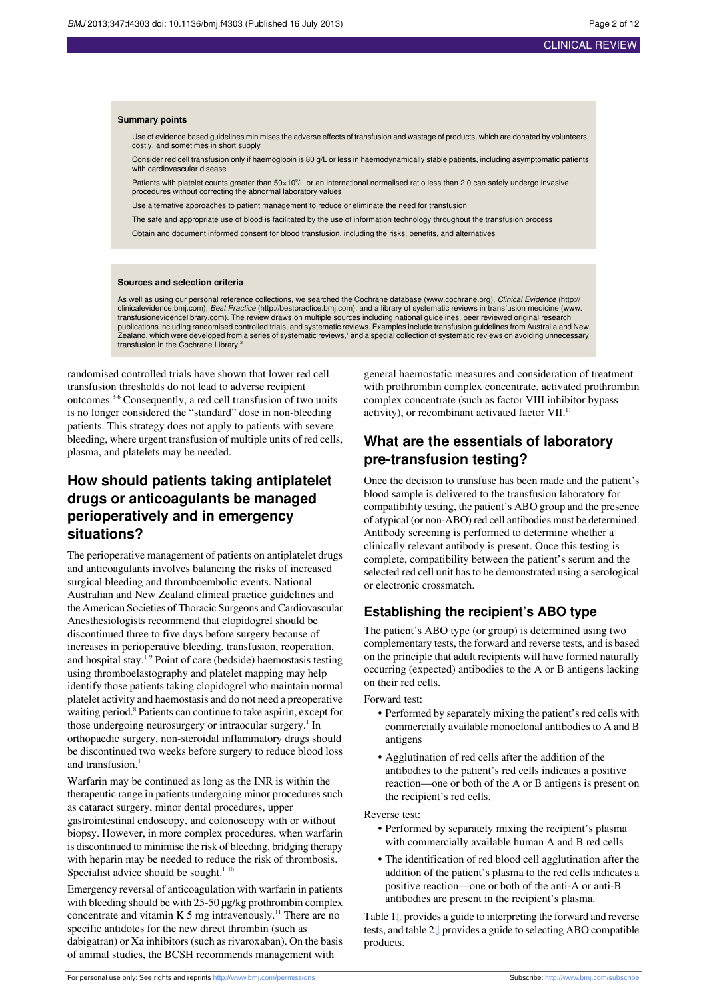#### **Summary points**

Use of evidence based guidelines minimises the adverse effects of transfusion and wastage of products, which are donated by volunteers, costly, and sometimes in short supply

Consider red cell transfusion only if haemoglobin is 80 g/L or less in haemodynamically stable patients, including asymptomatic patients with cardiovascular disease

Patients with platelet counts greater than 50×10<sup>9</sup>/L or an international normalised ratio less than 2.0 can safely undergo invasive procedures without correcting the abnormal laboratory values

Use alternative approaches to patient management to reduce or eliminate the need for transfusion

The safe and appropriate use of blood is facilitated by the use of information technology throughout the transfusion process

Obtain and document informed consent for blood transfusion, including the risks, benefits, and alternatives

#### **Sources and selection criteria**

As well as using our personal reference collections, we searched the Cochrane database [\(www.cochrane.org](http://www.cochrane.org/)), Clinical Evidence ([http://](http://clinicalevidence.bmj.com/) [clinicalevidence.bmj.com](http://clinicalevidence.bmj.com/)), Best Practice [\(http://bestpractice.bmj.com](http://bestpractice.bmj.com/)), and a library of systematic reviews in transfusion medicine ([www.](http://www.transfusionevidencelibrary.com/) [transfusionevidencelibrary.com\)](http://www.transfusionevidencelibrary.com/). The review draws on multiple sources including national guidelines, peer reviewed original research publications including randomised controlled trials, and systematic reviews. Examples include transfusion guidelines from Australia and New<br>Zealand, which were developed from a series of systematic reviews,' and a special transfusion in the Cochrane Library.<sup>2</sup>

randomised controlled trials have shown that lower red cell transfusion thresholds do not lead to adverse recipient outcomes.3-6 Consequently, a red cell transfusion of two units is no longer considered the "standard" dose in non-bleeding patients. This strategy does not apply to patients with severe bleeding, where urgent transfusion of multiple units of red cells, plasma, and platelets may be needed.

### **How should patients taking antiplatelet drugs or anticoagulants be managed perioperatively and in emergency situations?**

The perioperative management of patients on antiplatelet drugs and anticoagulants involves balancing the risks of increased surgical bleeding and thromboembolic events. National Australian and New Zealand clinical practice guidelines and the American Societies of Thoracic Surgeons and Cardiovascular Anesthesiologists recommend that clopidogrel should be discontinued three to five days before surgery because of increases in perioperative bleeding, transfusion, reoperation, and hospital stay.<sup>19</sup> Point of care (bedside) haemostasis testing using thromboelastography and platelet mapping may help identify those patients taking clopidogrel who maintain normal platelet activity and haemostasis and do not need a preoperative waiting period.<sup>8</sup> Patients can continue to take aspirin, except for those undergoing neurosurgery or intraocular surgery.<sup>1</sup> In orthopaedic surgery, non-steroidal inflammatory drugs should be discontinued two weeks before surgery to reduce blood loss and transfusion.<sup>1</sup>

Warfarin may be continued as long as the INR is within the therapeutic range in patients undergoing minor procedures such as cataract surgery, minor dental procedures, upper gastrointestinal endoscopy, and colonoscopy with or without biopsy. However, in more complex procedures, when warfarin is discontinued to minimise the risk of bleeding, bridging therapy with heparin may be needed to reduce the risk of thrombosis. Specialist advice should be sought. $110$ 

Emergency reversal of anticoagulation with warfarin in patients with bleeding should be with 25-50 µg/kg prothrombin complex concentrate and vitamin K  $5$  mg intravenously.<sup>11</sup> There are no specific antidotes for the new direct thrombin (such as dabigatran) or Xa inhibitors (such as rivaroxaban). On the basis of animal studies, the BCSH recommends management with

general haemostatic measures and consideration of treatment with prothrombin complex concentrate, activated prothrombin complex concentrate (such as factor VIII inhibitor bypass activity), or recombinant activated factor VII.<sup>11</sup>

### **What are the essentials of laboratory pre-transfusion testing?**

Once the decision to transfuse has been made and the patient's blood sample is delivered to the transfusion laboratory for compatibility testing, the patient's ABO group and the presence of atypical (or non-ABO) red cell antibodies must be determined. Antibody screening is performed to determine whether a clinically relevant antibody is present. Once this testing is complete, compatibility between the patient's serum and the selected red cell unit has to be demonstrated using a serological or electronic crossmatch.

### **Establishing the recipient's ABO type**

The patient's ABO type (or group) is determined using two complementary tests, the forward and reverse tests, and is based on the principle that adult recipients will have formed naturally occurring (expected) antibodies to the A or B antigens lacking on their red cells.

Forward test:

- Performed by separately mixing the patient's red cells with commercially available monoclonal antibodies to A and B antigens
- **•** Agglutination of red cells after the addition of the antibodies to the patient's red cells indicates a positive reaction—one or both of the A or B antigens is present on the recipient's red cells.

Reverse test:

- **•** Performed by separately mixing the recipient's plasma with commercially available human A and B red cells
- **•** The identification of red blood cell agglutination after the addition of the patient's plasma to the red cells indicates a positive reaction—one or both of the anti-A or anti-B antibodies are present in the recipient's plasma.

Table 1[⇓](#page-6-0) provides a guide to interpreting the forward and reverse tests, and table 2[⇓](#page-7-0) provides a guide to selecting ABO compatible products.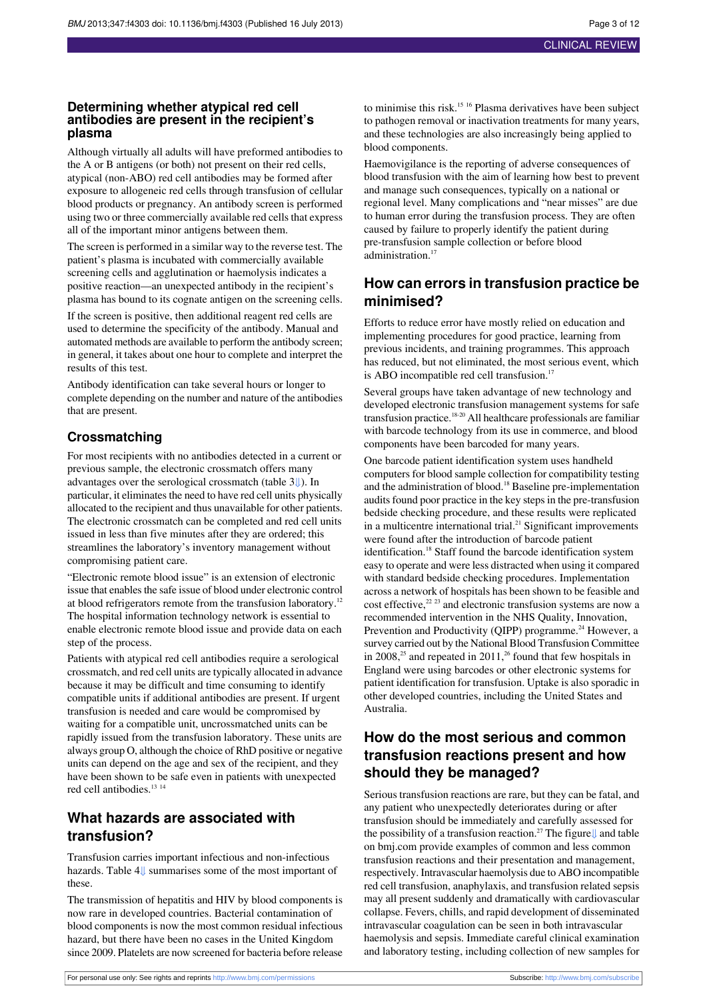### **Determining whether atypical red cell antibodies are present in the recipient's plasma**

Although virtually all adults will have preformed antibodies to the A or B antigens (or both) not present on their red cells, atypical (non-ABO) red cell antibodies may be formed after exposure to allogeneic red cells through transfusion of cellular blood products or pregnancy. An antibody screen is performed using two or three commercially available red cells that express all of the important minor antigens between them.

The screen is performed in a similar way to the reverse test. The patient's plasma is incubated with commercially available screening cells and agglutination or haemolysis indicates a positive reaction—an unexpected antibody in the recipient's plasma has bound to its cognate antigen on the screening cells.

If the screen is positive, then additional reagent red cells are used to determine the specificity of the antibody. Manual and automated methods are available to perform the antibody screen; in general, it takes about one hour to complete and interpret the results of this test.

Antibody identification can take several hours or longer to complete depending on the number and nature of the antibodies that are present.

### **Crossmatching**

For most recipients with no antibodies detected in a current or previous sample, the electronic crossmatch offers many advantages over the serological crossmatch (table [3⇓](#page-8-0)). In particular, it eliminates the need to have red cell units physically allocated to the recipient and thus unavailable for other patients. The electronic crossmatch can be completed and red cell units issued in less than five minutes after they are ordered; this streamlines the laboratory's inventory management without compromising patient care.

"Electronic remote blood issue" is an extension of electronic issue that enables the safe issue of blood under electronic control at blood refrigerators remote from the transfusion laboratory.<sup>12</sup> The hospital information technology network is essential to enable electronic remote blood issue and provide data on each step of the process.

Patients with atypical red cell antibodies require a serological crossmatch, and red cell units are typically allocated in advance because it may be difficult and time consuming to identify compatible units if additional antibodies are present. If urgent transfusion is needed and care would be compromised by waiting for a compatible unit, uncrossmatched units can be rapidly issued from the transfusion laboratory. These units are always group O, although the choice of RhD positive or negative units can depend on the age and sex of the recipient, and they have been shown to be safe even in patients with unexpected red cell antibodies.<sup>13</sup><sup>14</sup>

### **What hazards are associated with transfusion?**

Transfusion carries important infectious and non-infectious hazards. Table 4[⇓](#page-9-0) summarises some of the most important of these.

The transmission of hepatitis and HIV by blood components is now rare in developed countries. Bacterial contamination of blood components is now the most common residual infectious hazard, but there have been no cases in the United Kingdom since 2009. Platelets are now screened for bacteria before release

to minimise this risk.<sup>15 16</sup> Plasma derivatives have been subject to pathogen removal or inactivation treatments for many years, and these technologies are also increasingly being applied to blood components.

Haemovigilance is the reporting of adverse consequences of blood transfusion with the aim of learning how best to prevent and manage such consequences, typically on a national or regional level. Many complications and "near misses" are due to human error during the transfusion process. They are often caused by failure to properly identify the patient during pre-transfusion sample collection or before blood administration.<sup>17</sup>

### **How can errors in transfusion practice be minimised?**

Efforts to reduce error have mostly relied on education and implementing procedures for good practice, learning from previous incidents, and training programmes. This approach has reduced, but not eliminated, the most serious event, which is ABO incompatible red cell transfusion.<sup>17</sup>

Several groups have taken advantage of new technology and developed electronic transfusion management systems for safe transfusion practice.18-20 All healthcare professionals are familiar with barcode technology from its use in commerce, and blood components have been barcoded for many years.

One barcode patient identification system uses handheld computers for blood sample collection for compatibility testing and the administration of blood.<sup>18</sup> Baseline pre-implementation audits found poor practice in the key steps in the pre-transfusion bedside checking procedure, and these results were replicated in a multicentre international trial.<sup>21</sup> Significant improvements were found after the introduction of barcode patient identification.<sup>18</sup> Staff found the barcode identification system easy to operate and were less distracted when using it compared with standard bedside checking procedures. Implementation across a network of hospitals has been shown to be feasible and cost effective,<sup>22</sup> <sup>23</sup> and electronic transfusion systems are now a recommended intervention in the NHS Quality, Innovation, Prevention and Productivity (QIPP) programme.<sup>24</sup> However, a survey carried out by the National Blood Transfusion Committee in 2008,<sup>25</sup> and repeated in 2011,<sup>26</sup> found that few hospitals in England were using barcodes or other electronic systems for patient identification for transfusion. Uptake is also sporadic in other developed countries, including the United States and Australia.

### **How do the most serious and common transfusion reactions present and how should they be managed?**

Serious transfusion reactions are rare, but they can be fatal, and any patient who unexpectedly deteriorates during or after transfusion should be immediately and carefully assessed for the possibility of a transfusion reaction.<sup>27</sup> The figure $\parallel$  and table on bmj.com provide examples of common and less common transfusion reactions and their presentation and management, respectively. Intravascular haemolysis due to ABO incompatible red cell transfusion, anaphylaxis, and transfusion related sepsis may all present suddenly and dramatically with cardiovascular collapse. Fevers, chills, and rapid development of disseminated intravascular coagulation can be seen in both intravascular haemolysis and sepsis. Immediate careful clinical examination and laboratory testing, including collection of new samples for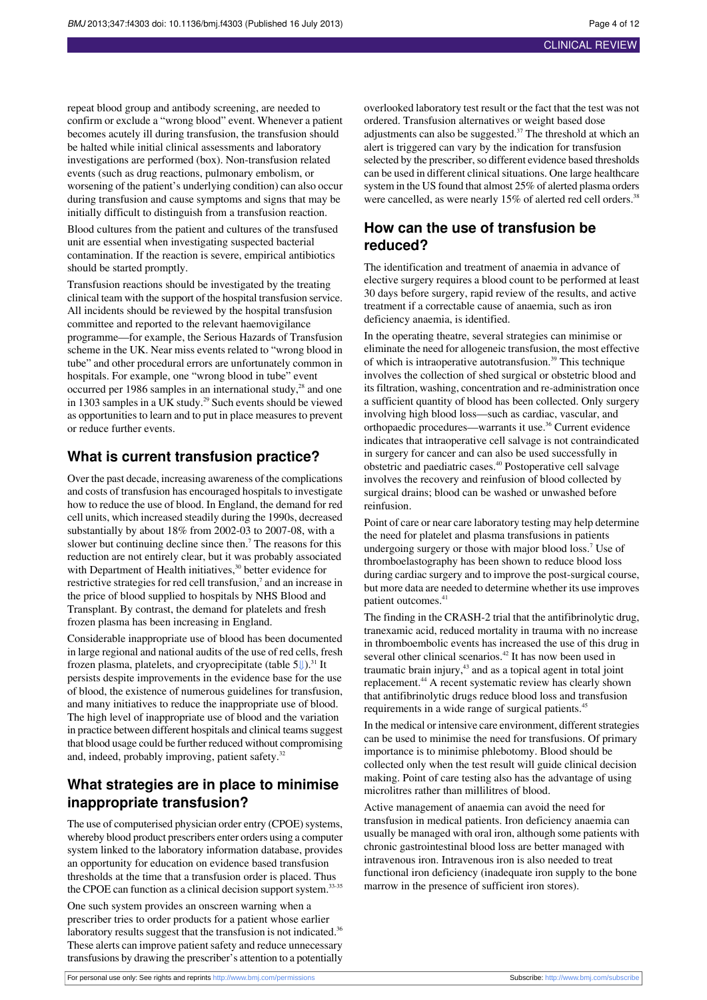repeat blood group and antibody screening, are needed to confirm or exclude a "wrong blood" event. Whenever a patient becomes acutely ill during transfusion, the transfusion should be halted while initial clinical assessments and laboratory investigations are performed (box). Non-transfusion related events (such as drug reactions, pulmonary embolism, or worsening of the patient's underlying condition) can also occur during transfusion and cause symptoms and signs that may be

initially difficult to distinguish from a transfusion reaction. Blood cultures from the patient and cultures of the transfused unit are essential when investigating suspected bacterial contamination. If the reaction is severe, empirical antibiotics should be started promptly.

Transfusion reactions should be investigated by the treating clinical team with the support of the hospital transfusion service. All incidents should be reviewed by the hospital transfusion committee and reported to the relevant haemovigilance programme—for example, the Serious Hazards of Transfusion scheme in the UK. Near miss events related to "wrong blood in tube" and other procedural errors are unfortunately common in hospitals. For example, one "wrong blood in tube" event occurred per 1986 samples in an international study, $^{28}$  and one in 1303 samples in a UK study.<sup>29</sup> Such events should be viewed as opportunities to learn and to put in place measures to prevent or reduce further events.

### **What is current transfusion practice?**

Over the past decade, increasing awareness of the complications and costs of transfusion has encouraged hospitals to investigate how to reduce the use of blood. In England, the demand for red cell units, which increased steadily during the 1990s, decreased substantially by about 18% from 2002-03 to 2007-08, with a slower but continuing decline since then.<sup>7</sup> The reasons for this reduction are not entirely clear, but it was probably associated with Department of Health initiatives,<sup>30</sup> better evidence for restrictive strategies for red cell transfusion, $\alpha$  and an increase in the price of blood supplied to hospitals by NHS Blood and Transplant. By contrast, the demand for platelets and fresh frozen plasma has been increasing in England.

Considerable inappropriate use of blood has been documented in large regional and national audits of the use of red cells, fresh frozen plasma, platelets, and cryoprecipitate (table  $5\%$ ).<sup>31</sup> It persists despite improvements in the evidence base for the use of blood, the existence of numerous guidelines for transfusion, and many initiatives to reduce the inappropriate use of blood. The high level of inappropriate use of blood and the variation in practice between different hospitals and clinical teams suggest that blood usage could be further reduced without compromising and, indeed, probably improving, patient safety.<sup>32</sup>

### **What strategies are in place to minimise inappropriate transfusion?**

The use of computerised physician order entry (CPOE) systems, whereby blood product prescribers enter orders using a computer system linked to the laboratory information database, provides an opportunity for education on evidence based transfusion thresholds at the time that a transfusion order is placed. Thus the CPOE can function as a clinical decision support system.<sup>33-35</sup>

One such system provides an onscreen warning when a prescriber tries to order products for a patient whose earlier laboratory results suggest that the transfusion is not indicated.<sup>36</sup> These alerts can improve patient safety and reduce unnecessary transfusions by drawing the prescriber's attention to a potentially overlooked laboratory test result or the fact that the test was not ordered. Transfusion alternatives or weight based dose adjustments can also be suggested.<sup>37</sup> The threshold at which an alert is triggered can vary by the indication for transfusion selected by the prescriber, so different evidence based thresholds can be used in different clinical situations. One large healthcare system in the US found that almost 25% of alerted plasma orders were cancelled, as were nearly 15% of alerted red cell orders.<sup>38</sup>

### **How can the use of transfusion be reduced?**

The identification and treatment of anaemia in advance of elective surgery requires a blood count to be performed at least 30 days before surgery, rapid review of the results, and active treatment if a correctable cause of anaemia, such as iron deficiency anaemia, is identified.

In the operating theatre, several strategies can minimise or eliminate the need for allogeneic transfusion, the most effective of which is intraoperative autotransfusion.<sup>39</sup> This technique involves the collection of shed surgical or obstetric blood and its filtration, washing, concentration and re-administration once a sufficient quantity of blood has been collected. Only surgery involving high blood loss—such as cardiac, vascular, and orthopaedic procedures—warrants it use.<sup>36</sup> Current evidence indicates that intraoperative cell salvage is not contraindicated in surgery for cancer and can also be used successfully in obstetric and paediatric cases.<sup>40</sup> Postoperative cell salvage involves the recovery and reinfusion of blood collected by surgical drains; blood can be washed or unwashed before reinfusion.

Point of care or near care laboratory testing may help determine the need for platelet and plasma transfusions in patients undergoing surgery or those with major blood loss.<sup>7</sup> Use of thromboelastography has been shown to reduce blood loss during cardiac surgery and to improve the post-surgical course, but more data are needed to determine whether its use improves patient outcomes.<sup>41</sup>

The finding in the CRASH-2 trial that the antifibrinolytic drug, tranexamic acid, reduced mortality in trauma with no increase in thromboembolic events has increased the use of this drug in several other clinical scenarios.<sup>42</sup> It has now been used in traumatic brain injury,<sup>43</sup> and as a topical agent in total joint replacement.<sup>44</sup> A recent systematic review has clearly shown that antifibrinolytic drugs reduce blood loss and transfusion requirements in a wide range of surgical patients.<sup>45</sup>

In the medical or intensive care environment, different strategies can be used to minimise the need for transfusions. Of primary importance is to minimise phlebotomy. Blood should be collected only when the test result will guide clinical decision making. Point of care testing also has the advantage of using microlitres rather than millilitres of blood.

Active management of anaemia can avoid the need for transfusion in medical patients. Iron deficiency anaemia can usually be managed with oral iron, although some patients with chronic gastrointestinal blood loss are better managed with intravenous iron. Intravenous iron is also needed to treat functional iron deficiency (inadequate iron supply to the bone marrow in the presence of sufficient iron stores).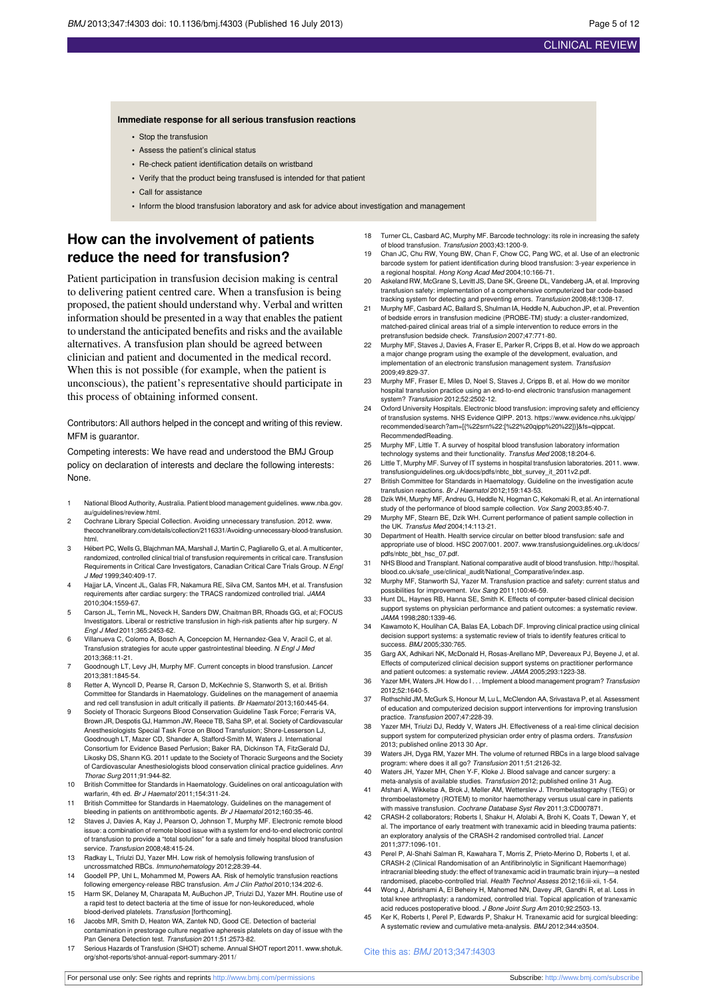#### **Immediate response for all serious transfusion reactions**

- **•** Stop the transfusion
- **•** Assess the patient's clinical status
- **•** Re-check patient identification details on wristband
- **•** Verify that the product being transfused is intended for that patient
- **•** Call for assistance
- **•** Inform the blood transfusion laboratory and ask for advice about investigation and management

### **How can the involvement of patients reduce the need for transfusion?**

Patient participation in transfusion decision making is central to delivering patient centred care. When a transfusion is being proposed, the patient should understand why. Verbal and written information should be presented in a way that enables the patient to understand the anticipated benefits and risks and the available alternatives. A transfusion plan should be agreed between clinician and patient and documented in the medical record. When this is not possible (for example, when the patient is unconscious), the patient's representative should participate in this process of obtaining informed consent.

Contributors: All authors helped in the concept and writing of this review. MFM is guarantor.

Competing interests: We have read and understood the BMJ Group policy on declaration of interests and declare the following interests: None.

- 1 National Blood Authority, Australia. Patient blood management guidelines. [www.nba.gov.](http://www.nba.gov.au/guidelines/review.html) [au/guidelines/review.html](http://www.nba.gov.au/guidelines/review.html).
- 2 Cochrane Library Special Collection. Avoiding unnecessary transfusion. 2012. [www.](http://www.thecochranelibrary.com/details/collection/2116331/Avoiding-unnecessary-blood-transfusion.html) [thecochranelibrary.com/details/collection/2116331/Avoiding-unnecessary-blood-transfusion.](http://www.thecochranelibrary.com/details/collection/2116331/Avoiding-unnecessary-blood-transfusion.html) [html.](http://www.thecochranelibrary.com/details/collection/2116331/Avoiding-unnecessary-blood-transfusion.html)
- 3 Hébert PC, Wells G, Blajchman MA, Marshall J, Martin C, Pagliarello G, et al. A multicenter, randomized, controlled clinical trial of transfusion requirements in critical care. Transfusion Requirements in Critical Care Investigators, Canadian Critical Care Trials Group. N Engl J Med 1999;340:409-17.
- 4 Hajjar LA, Vincent JL, Galas FR, Nakamura RE, Silva CM, Santos MH, et al. Transfusion requirements after cardiac surgery: the TRACS randomized controlled trial. JAMA 2010;304:1559-67.
- 5 Carson JL, Terrin ML, Noveck H, Sanders DW, Chaitman BR, Rhoads GG, et al; FOCUS Investigators. Liberal or restrictive transfusion in high-risk patients after hip surgery. N Engl J Med 2011;365:2453-62.
- 6 Villanueva C, Colomo A, Bosch A, Concepcion M, Hernandez-Gea V, Aracil C, et al. Transfusion strategies for acute upper gastrointestinal bleeding. N Engl J Med 2013;368:11-21.
- 7 Goodnough LT, Levy JH, Murphy MF. Current concepts in blood transfusion. Lancet 2013;381:1845-54.
- 8 Retter A, Wyncoll D, Pearse R, Carson D, McKechnie S, Stanworth S, et al. British Committee for Standards in Haematology. Guidelines on the management of anaemia and red cell transfusion in adult critically ill patients. Br Haematol 2013;160:445-64.
- Society of Thoracic Surgeons Blood Conservation Guideline Task Force; Ferraris VA Brown JR, Despotis GJ, Hammon JW, Reece TB, Saha SP, et al. Society of Cardiovascular Anesthesiologists Special Task Force on Blood Transfusion; Shore-Lesserson LJ, Goodnough LT, Mazer CD, Shander A, Stafford-Smith M, Waters J. International Consortium for Evidence Based Perfusion; Baker RA, Dickinson TA, FitzGerald DJ, Likosky DS, Shann KG. 2011 update to the Society of Thoracic Surgeons and the Society of Cardiovascular Anesthesiologists blood conservation clinical practice guidelines. Ann Thorac Surg 2011;91:944-82.
- 10 British Committee for Standards in Haematology. Guidelines on oral anticoagulation with warfarin, 4th ed. Br J Haematol 2011;154:311-24.
- 11 British Committee for Standards in Haematology. Guidelines on the management of bleeding in patients on antithrombotic agents. Br J Haematol 2012;160:35-46.
- 12 Staves J, Davies A, Kay J, Pearson O, Johnson T, Murphy MF. Electronic remote blood issue: a combination of remote blood issue with a system for end-to-end electronic control of transfusion to provide a "total solution" for a safe and timely hospital blood transfusion service. Transfusion 2008:48:415-24.
- 13 Radkay L, Triulzi DJ, Yazer MH. Low risk of hemolysis following transfusion of uncrossmatched RBCs. Immunohematology 2012;28:39-44.
- 14 Goodell PP, Uhl L, Mohammed M, Powers AA. Risk of hemolytic transfusion reactions following emergency-release RBC transfusion. Am J Clin Pathol 2010;134:202-6.
- 15 Harm SK, Delaney M, Charapata M, AuBuchon JP, Triulzi DJ, Yazer MH. Routine use of a rapid test to detect bacteria at the time of issue for non-leukoreduced, whole blood-derived platelets. Transfusion [forthcoming].
- 16 Jacobs MR, Smith D, Heaton WA, Zantek ND, Good CE. Detection of bacterial contamination in prestorage culture negative apheresis platelets on day of issue with the Pan Genera Detection test. Transfusion 2011;51:2573-82.
- 17 Serious Hazards of Transfusion (SHOT) scheme. Annual SHOT report 2011. [www.shotuk.](http://www.shotuk.org/shot-reports/shot-annual-report-summary-2011/) [org/shot-reports/shot-annual-report-summary-2011/](http://www.shotuk.org/shot-reports/shot-annual-report-summary-2011/)
- 18 Turner CL, Casbard AC, Murphy MF. Barcode technology: its role in increasing the safety of blood transfusion. Transfusion 2003;43:1200-9.
- 19 Chan JC, Chu RW, Young BW, Chan F, Chow CC, Pang WC, et al. Use of an electronic barcode system for patient identification during blood transfusion: 3-year experience in a regional hospital. Hong Kong Acad Med 2004;10:166-71.
- 20 Askeland RW, McGrane S, Levitt JS, Dane SK, Greene DL, Vandeberg JA, et al. Improving transfusion safety: implementation of a comprehensive computerized bar code-based tracking system for detecting and preventing errors. Transfusion 2008;48:1308-17.
- 21 Murphy MF, Casbard AC, Ballard S, Shulman IA, Heddle N, Aubuchon JP, et al. Prevention of bedside errors in transfusion medicine (PROBE-TM) study: a cluster-randomized, matched-paired clinical areas trial of a simple intervention to reduce errors in the retransfusion bedside check. Transfusion 2007;47:771-80.
- 22 Murphy MF, Staves J, Davies A, Fraser E, Parker R, Cripps B, et al. How do we approach a major change program using the example of the development, evaluation, and implementation of an electronic transfusion management system. Transfusion 2009;49:829-37.
- 23 Murphy MF, Fraser E, Miles D, Noel S, Staves J, Cripps B, et al. How do we monitor hospital transfusion practice using an end-to-end electronic transfusion management system? Transfusion 2012;52:2502-12.
- 24 Oxford University Hospitals. Electronic blood transfusion: improving safety and efficiency of transfusion systems. NHS Evidence QIPP. 2013. https://www.evidence.nhs.uk/qipp/ recommended/search?am=[{%22srn%22:[%22%20qipp%20%22]}]&fs=qippcat. RecommendedReading.
- 25 Murphy MF, Little T. A survey of hospital blood transfusion laboratory information technology systems and their functionality. Transfus Med 2008;18:204-6.
- 26 Little T, Murphy MF. Survey of IT systems in hospital transfusion laboratories. 2011. [www.](http://www.transfusionguidelines.org.uk/docs/pdfs/nbtc_bbt_survey_it_2011v2.pdf) [transfusionguidelines.org.uk/docs/pdfs/nbtc\\_bbt\\_survey\\_it\\_2011v2.pdf](http://www.transfusionguidelines.org.uk/docs/pdfs/nbtc_bbt_survey_it_2011v2.pdf).
- 27 British Committee for Standards in Haematology. Guideline on the investigation acute transfusion reactions. Br J Haematol 2012;159:143-53.
- 28 Dzik WH, Murphy MF, Andreu G, Heddle N, Hogman C, Kekomaki R, et al. An international
- study of the performance of blood sample collection. Vox Sang 2003;85:40-7.<br>29 Murphy MF, Stearn BE, Dzik WH. Current performance of patient sample collection in the UK. Transfus Med 2004;14:113-21.
- 30 Department of Health. Health service circular on better blood transfusion: safe and appropriate use of blood. HSC 2007/001. 2007. [www.transfusionguidelines.org.uk/docs/](http://www.transfusionguidelines.org.uk/docs/pdfs/nbtc_bbt_hsc_07.pdf) [pdfs/nbtc\\_bbt\\_hsc\\_07.pdf](http://www.transfusionguidelines.org.uk/docs/pdfs/nbtc_bbt_hsc_07.pdf).
- 31 NHS Blood and Transplant. National comparative audit of blood transfusion. [http://hospital.](http://hospital.blood.co.uk/safe_use/clinical_audit/National_Comparative/index.asp) [blood.co.uk/safe\\_use/clinical\\_audit/National\\_Comparative/index.asp.](http://hospital.blood.co.uk/safe_use/clinical_audit/National_Comparative/index.asp)
- 32 Murphy MF, Stanworth SJ, Yazer M. Transfusion practice and safety: current status and possibilities for improvement. Vox Sang 2011;100:46-59.
- 33 Hunt DL, Haynes RB, Hanna SE, Smith K. Effects of computer-based clinical decision support systems on physician performance and patient outcomes: a systematic review. JAMA 1998;280:1339-46.
- 34 Kawamoto K, Houlihan CA, Balas EA, Lobach DF. Improving clinical practice using clinical decision support systems: a systematic review of trials to identify features critical to success. BMJ 2005;330:765.
- 35 Garg AX, Adhikari NK, McDonald H, Rosas-Arellano MP, Devereaux PJ, Beyene J, et al. Effects of computerized clinical decision support systems on practitioner performance and patient outcomes: a systematic review. JAMA 2005;293:1223-38.
- 36 Yazer MH, Waters JH. How do I... Implement a blood management program? Transfusion 2012;52:1640-5.
- 37 Rothschild JM, McGurk S, Honour M, Lu L, McClendon AA, Srivastava P, et al. Assessment of education and computerized decision support interventions for improving transfusion practice. Transfusion 2007;47:228-39.
- .<br>Yazer MH, Triulzi DJ, Reddy V, Waters JH. Effectiveness of a real-time clinical decision support system for computerized physician order entry of plasma orders. Transfusion 2013; published online 2013 30 Apr.
- Waters JH, Dyga RM, Yazer MH. The volume of returned RBCs in a large blood salvage program: where does it all go? Transfusion 2011;51:2126-32.
- 40 Waters JH, Yazer MH, Chen Y-F, Kloke J. Blood salvage and cancer surgery: a meta-analysis of available studies. Transfusion 2012; published online 31 Aug.
- Afshari A, Wikkelsø A, Brok J, Møller AM, Wetterslev J. Thrombelastography (TEG) or thromboelastometry (ROTEM) to monitor haemotherapy versus usual care in patie with massive transfusion. Cochrane Database Syst Rev 2011;3:CD007871.
- 42 CRASH-2 collaborators; Roberts I, Shakur H, Afolabi A, Brohi K, Coats T, Dewan Y, et al. The importance of early treatment with tranexamic acid in bleeding trauma patients: an exploratory analysis of the CRASH-2 randomised controlled trial. Lancet 2011;377:1096-101.
- 43 Perel P, Al-Shahi Salman R, Kawahara T, Morris Z, Prieto-Merino D, Roberts I, et al. CRASH-2 (Clinical Randomisation of an Antifibrinolytic in Significant Haemorrhage) intracranial bleeding study: the effect of tranexamic acid in traumatic brain injury-a ne randomised, placebo-controlled trial. Health Technol Assess 2012;16:iii-xii, 1-54.
- 44 Wong J, Abrishami A, El Beheiry H, Mahomed NN, Davey JR, Gandhi R, et al. Loss in total knee arthroplasty: a randomized, controlled trial. Topical application of tranexamic
- acid reduces postoperative blood. J Bone Joint Surg Am 2010;92:2503-13.<br>45 Ker K, Roberts I, Perel P, Edwards P, Shakur H. Tranexamic acid for surgical bleeding: A systematic review and cumulative meta-analysis. BMJ 2012;344:e3504.

#### Cite this as: BMJ 2013;347:f4303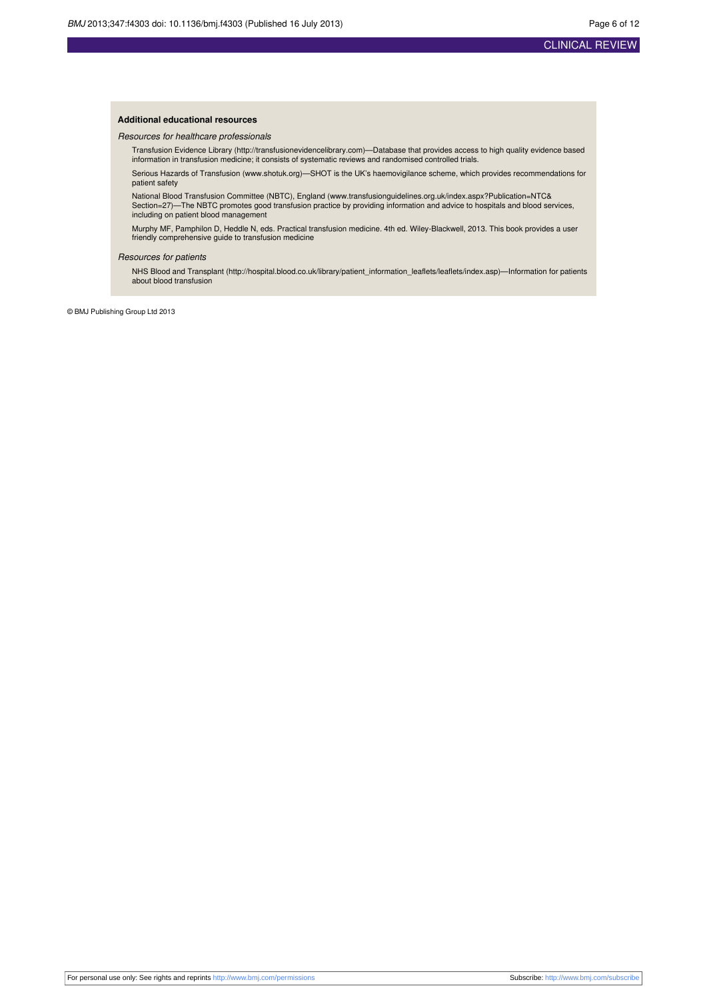#### **Additional educational resources**

#### Resources for healthcare professionals

Transfusion Evidence Library ([http://transfusionevidencelibrary.com\)](http://transfusionevidencelibrary.com/)—Database that provides access to high quality evidence based information in transfusion medicine; it consists of systematic reviews and randomised controlled trials.

Serious Hazards of Transfusion [\(www.shotuk.org\)](http://www.shotuk.org/)—SHOT is the UK's haemovigilance scheme, which provides recommendations for patient safety

National Blood Transfusion Committee (NBTC), England ([www.transfusionguidelines.org.uk/index.aspx?Publication=NTC&](http://www.transfusionguidelines.org.uk/index.aspx?Publication=NTC&Section=27) [Section=27\)](http://www.transfusionguidelines.org.uk/index.aspx?Publication=NTC&Section=27)—The NBTC promotes good transfusion practice by providing information and advice to hospitals and blood services, including on patient blood management

Murphy MF, Pamphilon D, Heddle N, eds. Practical transfusion medicine. 4th ed. Wiley-Blackwell, 2013. This book provides a user friendly comprehensive guide to transfusion medicine

#### Resources for patients

NHS Blood and Transplant ([http://hospital.blood.co.uk/library/patient\\_information\\_leaflets/leaflets/index.asp\)](http://hospital.blood.co.uk/library/patient_information_leaflets/leaflets/index.asp)—Information for patients about blood transfusion

© BMJ Publishing Group Ltd 2013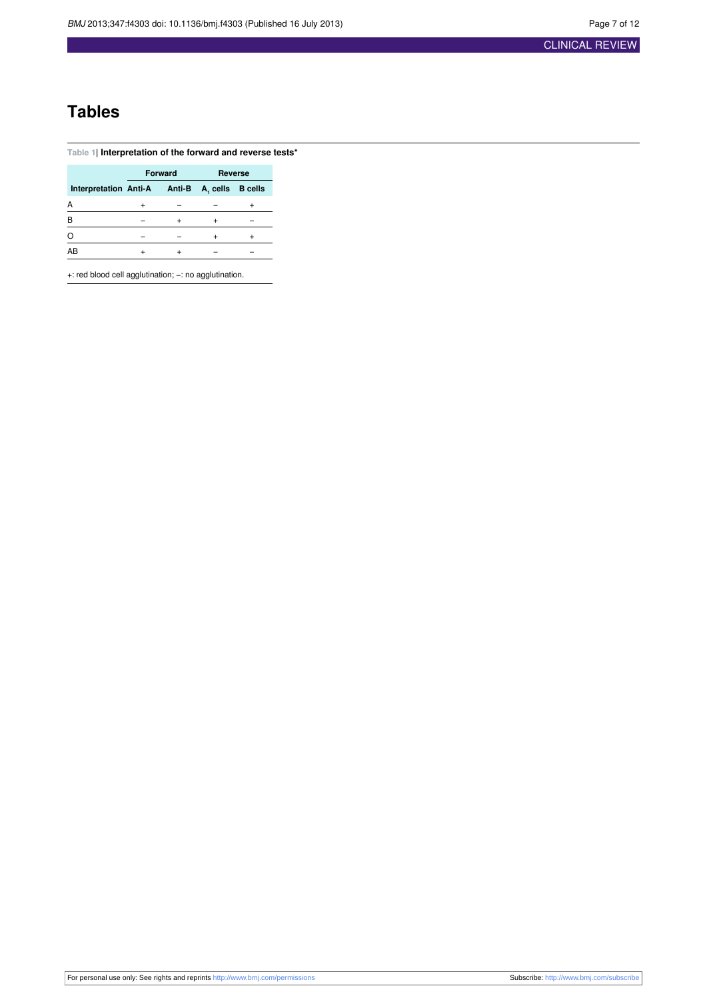## **Tables**

#### <span id="page-6-0"></span>**Table 1| Interpretation of the forward and reverse tests\***

| <b>Forward</b> |  | <b>Reverse</b>   |                              |
|----------------|--|------------------|------------------------------|
|                |  | A, cells B cells |                              |
|                |  |                  |                              |
|                |  |                  |                              |
|                |  |                  |                              |
|                |  |                  |                              |
|                |  |                  | Interpretation Anti-A Anti-B |

+: red blood cell agglutination; −: no agglutination.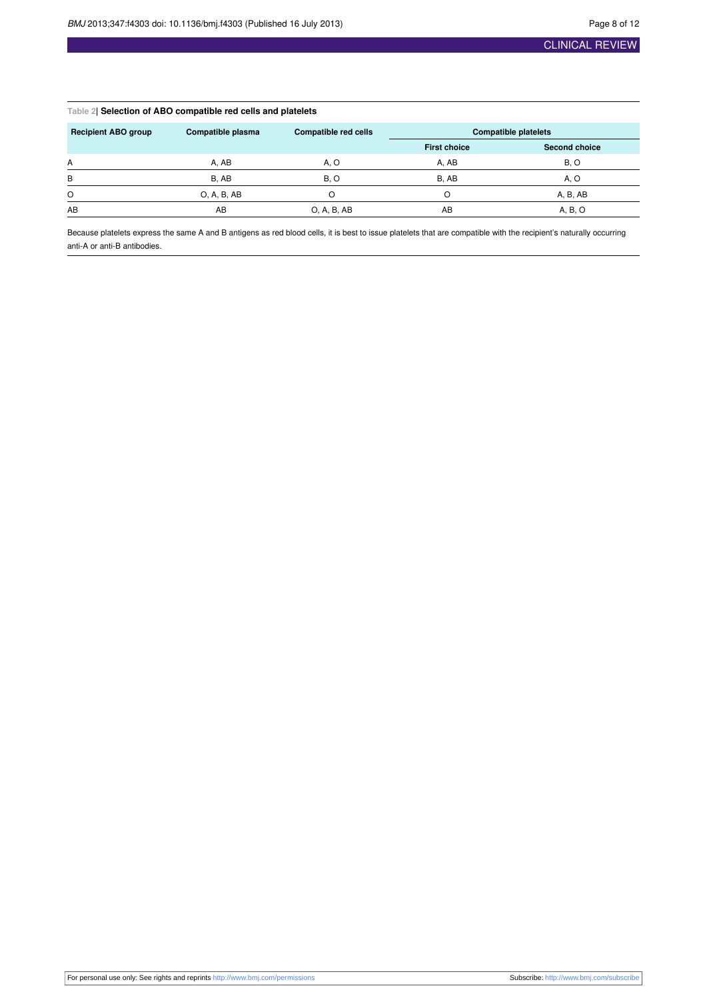#### <span id="page-7-0"></span>**Table 2| Selection of ABO compatible red cells and platelets**

| <b>Recipient ABO group</b> | Compatible plasma | <b>Compatible red cells</b> | <b>Compatible platelets</b> |                      |
|----------------------------|-------------------|-----------------------------|-----------------------------|----------------------|
|                            |                   |                             | <b>First choice</b>         | <b>Second choice</b> |
| Α                          | A, AB             | A, O                        | A, AB                       | <b>B.O</b>           |
| B                          | B. AB             | <b>B.O</b>                  | B. AB                       | A. O                 |
| O                          | O, A, B, AB       | Ω                           | O                           | A, B, AB             |
| AB                         | AB                | O, A, B, AB                 | AB                          | A, B, O              |

Because platelets express the same A and B antigens as red blood cells, it is best to issue platelets that are compatible with the recipient's naturally occurring anti-A or anti-B antibodies.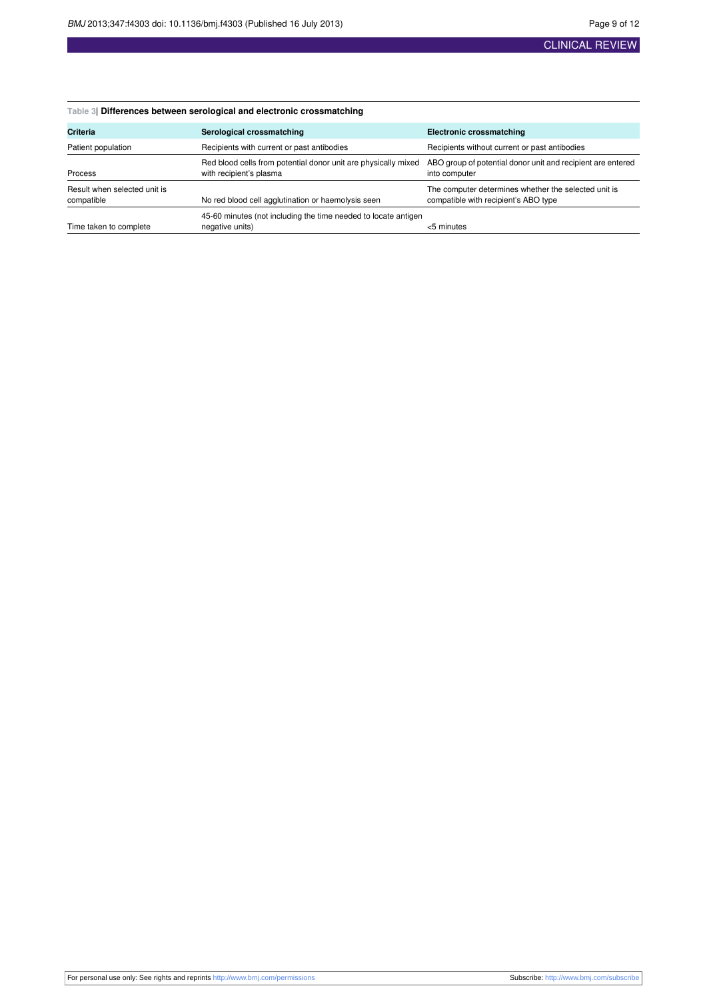### <span id="page-8-0"></span>**Table 3| Differences between serological and electronic crossmatching**

| <b>Criteria</b>                            | Serological crossmatching                                                                 | <b>Electronic crossmatching</b>                                                              |  |
|--------------------------------------------|-------------------------------------------------------------------------------------------|----------------------------------------------------------------------------------------------|--|
| Patient population                         | Recipients with current or past antibodies                                                | Recipients without current or past antibodies                                                |  |
| Process                                    | Red blood cells from potential donor unit are physically mixed<br>with recipient's plasma | ABO group of potential donor unit and recipient are entered<br>into computer                 |  |
| Result when selected unit is<br>compatible | No red blood cell agglutination or haemolysis seen                                        | The computer determines whether the selected unit is<br>compatible with recipient's ABO type |  |
| Time taken to complete                     | 45-60 minutes (not including the time needed to locate antigen<br>negative units)         | <5 minutes                                                                                   |  |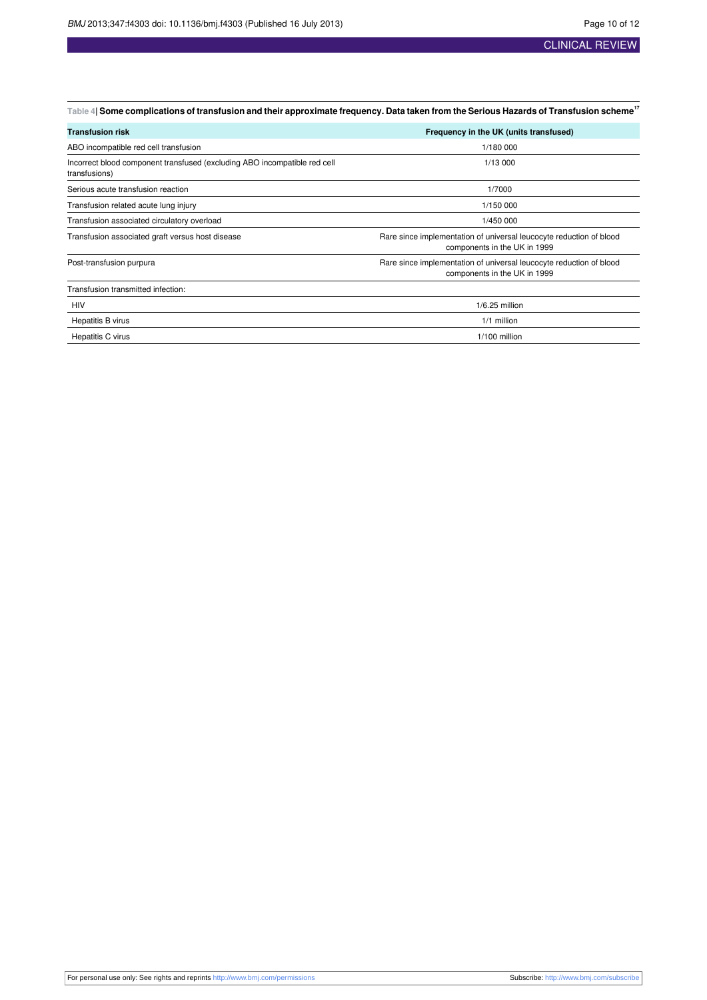<span id="page-9-0"></span>Table 4| Some complications of transfusion and their approximate frequency. Data taken from the Serious Hazards of Transfusion scheme<sup>17</sup>

| <b>Transfusion risk</b>                                                                    | Frequency in the UK (units transfused)                                                              |
|--------------------------------------------------------------------------------------------|-----------------------------------------------------------------------------------------------------|
| ABO incompatible red cell transfusion                                                      | 1/180 000                                                                                           |
| Incorrect blood component transfused (excluding ABO incompatible red cell<br>transfusions) | 1/13 000                                                                                            |
| Serious acute transfusion reaction                                                         | 1/7000                                                                                              |
| Transfusion related acute lung injury                                                      | 1/150 000                                                                                           |
| Transfusion associated circulatory overload                                                | 1/450 000                                                                                           |
| Transfusion associated graft versus host disease                                           | Rare since implementation of universal leucocyte reduction of blood<br>components in the UK in 1999 |
| Post-transfusion purpura                                                                   | Rare since implementation of universal leucocyte reduction of blood<br>components in the UK in 1999 |
| Transfusion transmitted infection:                                                         |                                                                                                     |
| <b>HIV</b>                                                                                 | $1/6.25$ million                                                                                    |
| Hepatitis B virus                                                                          | $1/1$ million                                                                                       |
| Hepatitis C virus                                                                          | 1/100 million                                                                                       |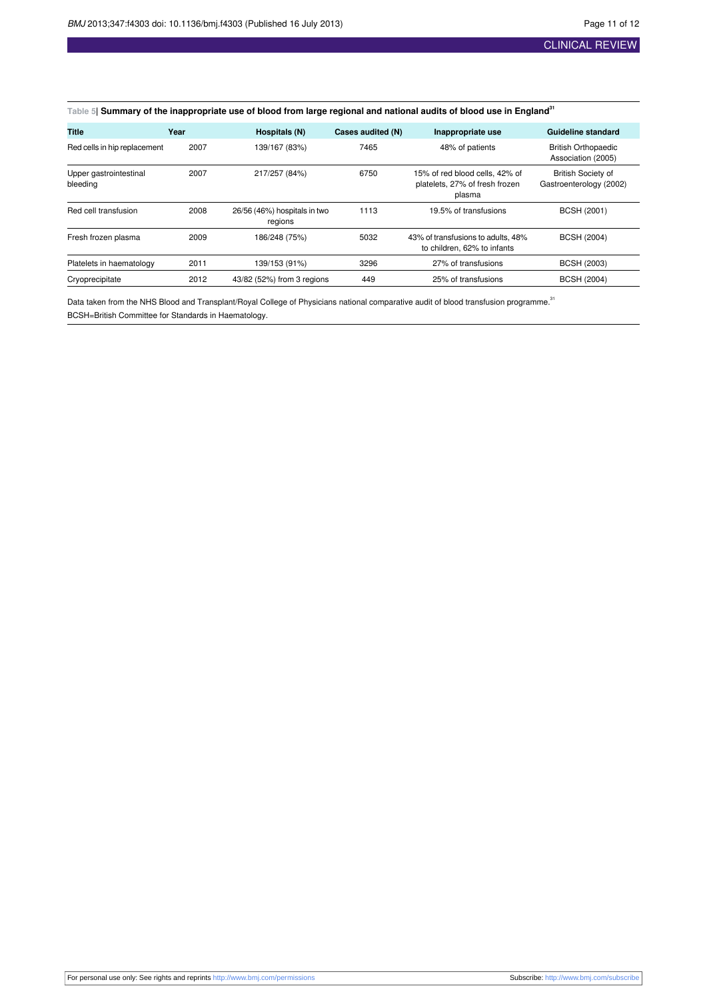#### <span id="page-10-0"></span>Table 5| Summary of the inappropriate use of blood from large regional and national audits of blood use in England<sup>31</sup>

| <b>Title</b>                       | Year | Hospitals (N)                           | Cases audited (N) | Inappropriate use                                                          | Guideline standard                                   |
|------------------------------------|------|-----------------------------------------|-------------------|----------------------------------------------------------------------------|------------------------------------------------------|
| Red cells in hip replacement       | 2007 | 139/167 (83%)                           | 7465              | 48% of patients                                                            | <b>British Orthopaedic</b><br>Association (2005)     |
| Upper gastrointestinal<br>bleeding | 2007 | 217/257 (84%)                           | 6750              | 15% of red blood cells, 42% of<br>platelets, 27% of fresh frozen<br>plasma | <b>British Society of</b><br>Gastroenterology (2002) |
| Red cell transfusion               | 2008 | 26/56 (46%) hospitals in two<br>regions | 1113              | 19.5% of transfusions                                                      | <b>BCSH (2001)</b>                                   |
| Fresh frozen plasma                | 2009 | 186/248 (75%)                           | 5032              | 43% of transfusions to adults, 48%<br>to children, 62% to infants          | <b>BCSH (2004)</b>                                   |
| Platelets in haematology           | 2011 | 139/153 (91%)                           | 3296              | 27% of transfusions                                                        | <b>BCSH (2003)</b>                                   |
| Cryoprecipitate                    | 2012 | 43/82 (52%) from 3 regions              | 449               | 25% of transfusions                                                        | <b>BCSH (2004)</b>                                   |

Data taken from the NHS Blood and Transplant/Royal College of Physicians national comparative audit of blood transfusion programme.<sup>31</sup> BCSH=British Committee for Standards in Haematology.